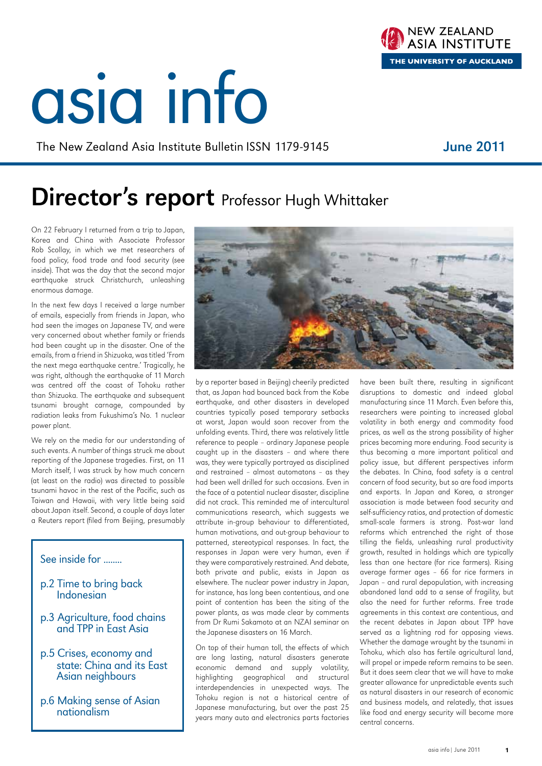# asia info

The New Zealand Asia Institute Bulletin ISSN 1179-9145

### Director's report Professor Hugh Whittaker

On 22 February I returned from a trip to Japan, Korea and China with Associate Professor Rob Scollay, in which we met researchers of food policy, food trade and food security (see inside). That was the day that the second major earthquake struck Christchurch, unleashing enormous damage.

In the next few days I received a large number of emails, especially from friends in Japan, who had seen the images on Japanese TV, and were very concerned about whether family or friends had been caught up in the disaster. One of the emails, from a friend in Shizuoka, was titled 'From the next mega earthquake centre.' Tragically, he was right, although the earthquake of 11 March was centred off the coast of Tohoku rather than Shizuoka. The earthquake and subsequent tsunami brought carnage, compounded by radiation leaks from Fukushima's No. 1 nuclear power plant.

We rely on the media for our understanding of such events. A number of things struck me about reporting of the Japanese tragedies. First, on 11 March itself, I was struck by how much concern (at least on the radio) was directed to possible tsunami havoc in the rest of the Pacific, such as Taiwan and Hawaii, with very little being said about Japan itself. Second, a couple of days later a Reuters report (filed from Beijing, presumably

### See inside for ........

- p.2 Time to bring back Indonesian
- p.3 Agriculture, food chains and TPP in East Asia
- p.5 Crises, economy and state: China and its East Asian neighbours
- p.6 Making sense of Asian nationalism

On top of their human toll, the effects of which are long lasting, natural disasters generate economic demand and supply volatility, highlighting geographical and structural interdependencies in unexpected ways. The Tohoku region is not a historical centre of Japanese manufacturing, but over the past 25 years many auto and electronics parts factories disruptions to domestic and indeed global manufacturing since 11 March. Even before this, researchers were pointing to increased global volatility in both energy and commodity food prices, as well as the strong possibility of higher prices becoming more enduring. Food security is thus becoming a more important political and policy issue, but different perspectives inform the debates. In China, food safety is a central concern of food security, but so are food imports and exports. In Japan and Korea, a stronger association is made between food security and self-sufficiency ratios, and protection of domestic small-scale farmers is strong. Post-war land reforms which entrenched the right of those tilling the fields, unleashing rural productivity growth, resulted in holdings which are typically less than one hectare (for rice farmers). Rising average farmer ages – 66 for rice farmers in Japan – and rural depopulation, with increasing abandoned land add to a sense of fragility, but also the need for further reforms. Free trade agreements in this context are contentious, and the recent debates in Japan about TPP have served as a lightning rod for opposing views. Whether the damage wrought by the tsunami in Tohoku, which also has fertile agricultural land, will propel or impede reform remains to be seen. But it does seem clear that we will have to make greater allowance for unpredictable events such as natural disasters in our research of economic and business models, and relatedly, that issues like food and energy security will become more central concerns.

have been built there, resulting in significant





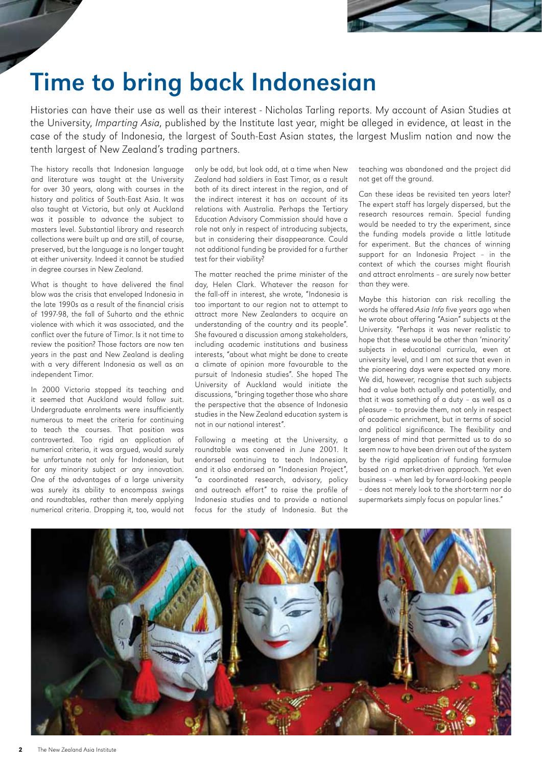

### Time to bring back Indonesian

Histories can have their use as well as their interest - Nicholas Tarling reports. My account of Asian Studies at the University, Imparting Asia, published by the Institute last year, might be alleged in evidence, at least in the case of the study of Indonesia, the largest of South-East Asian states, the largest Muslim nation and now the tenth largest of New Zealand's trading partners.

The history recalls that Indonesian language and literature was taught at the University for over 30 years, along with courses in the history and politics of South-East Asia. It was also taught at Victoria, but only at Auckland was it possible to advance the subject to masters level. Substantial library and research collections were built up and are still, of course, preserved, but the language is no longer taught at either university. Indeed it cannot be studied in degree courses in New Zealand.

What is thought to have delivered the final blow was the crisis that enveloped Indonesia in the late 1990s as a result of the financial crisis of 1997-98, the fall of Suharto and the ethnic violence with which it was associated, and the conflict over the future of Timor. Is it not time to review the position? Those factors are now ten years in the past and New Zealand is dealing with a very different Indonesia as well as an independent Timor.

In 2000 Victoria stopped its teaching and it seemed that Auckland would follow suit. Undergraduate enrolments were insufficiently numerous to meet the criteria for continuing to teach the courses. That position was controverted. Too rigid an application of numerical criteria, it was argued, would surely be unfortunate not only for Indonesian, but for any minority subject or any innovation. One of the advantages of a large university was surely its ability to encompass swings and roundtables, rather than merely applying numerical criteria. Dropping it, too, would not

only be odd, but look odd, at a time when New Zealand had soldiers in East Timor, as a result both of its direct interest in the region, and of the indirect interest it has on account of its relations with Australia. Perhaps the Tertiary Education Advisory Commission should have a role not only in respect of introducing subjects, but in considering their disappearance. Could not additional funding be provided for a further test for their viability?

The matter reached the prime minister of the day, Helen Clark. Whatever the reason for the fall-off in interest, she wrote, "Indonesia is too important to our region not to attempt to attract more New Zealanders to acquire an understanding of the country and its people". She favoured a discussion among stakeholders, including academic institutions and business interests, "about what might be done to create a climate of opinion more favourable to the pursuit of Indonesia studies". She hoped The University of Auckland would initiate the discussions, "bringing together those who share the perspective that the absence of Indonesia studies in the New Zealand education system is not in our national interest".

Following a meeting at the University, a roundtable was convened in June 2001. It endorsed continuing to teach Indonesian, and it also endorsed an "Indonesian Project", "a coordinated research, advisory, policy and outreach effort" to raise the profile of Indonesia studies and to provide a national focus for the study of Indonesia. But the

teaching was abandoned and the project did not get off the ground.

Can these ideas be revisited ten years later? The expert staff has largely dispersed, but the research resources remain. Special funding would be needed to try the experiment, since the funding models provide a little latitude for experiment. But the chances of winning support for an Indonesia Project – in the context of which the courses might flourish and attract enrolments – are surely now better than they were.

Maybe this historian can risk recalling the words he offered Asia Info five years ago when he wrote about offering "Asian" subjects at the University. "Perhaps it was never realistic to hope that these would be other than 'minority' subjects in educational curricula, even at university level, and I am not sure that even in the pioneering days were expected any more. We did, however, recognise that such subjects had a value both actually and potentially, and that it was something of a duty – as well as a pleasure – to provide them, not only in respect of academic enrichment, but in terms of social and political significance. The flexibility and largeness of mind that permitted us to do so seem now to have been driven out of the system by the rigid application of funding formulae based on a market-driven approach. Yet even business – when led by forward-looking people – does not merely look to the short-term nor do supermarkets simply focus on popular lines."

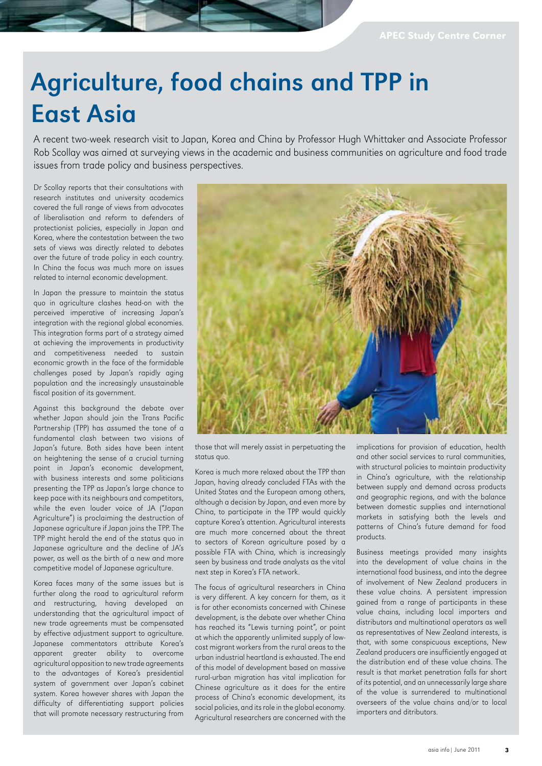## Agriculture, food chains and TPP in East Asia

A recent two-week research visit to Japan, Korea and China by Professor Hugh Whittaker and Associate Professor Rob Scollay was aimed at surveying views in the academic and business communities on agriculture and food trade issues from trade policy and business perspectives.

Dr Scollay reports that their consultations with research institutes and university academics covered the full range of views from advocates of liberalisation and reform to defenders of protectionist policies, especially in Japan and Korea, where the contestation between the two sets of views was directly related to debates over the future of trade policy in each country. In China the focus was much more on issues related to internal economic development.

In Japan the pressure to maintain the status quo in agriculture clashes head-on with the perceived imperative of increasing Japan's integration with the regional global economies. This integration forms part of a strategy aimed at achieving the improvements in productivity and competitiveness needed to sustain economic growth in the face of the formidable challenges posed by Japan's rapidly aging population and the increasingly unsustainable fiscal position of its government.

Against this background the debate over whether Japan should join the Trans Pacific Partnership (TPP) has assumed the tone of a fundamental clash between two visions of Japan's future. Both sides have been intent on heightening the sense of a crucial turning point in Japan's economic development, with business interests and some politicians presenting the TPP as Japan's large chance to keep pace with its neighbours and competitors, while the even louder voice of JA ("Japan Agriculture") is proclaiming the destruction of Japanese agriculture if Japan joins the TPP. The TPP might herald the end of the status quo in Japanese agriculture and the decline of JA's power, as well as the birth of a new and more competitive model of Japanese agriculture.

Korea faces many of the same issues but is further along the road to agricultural reform and restructuring, having developed an understanding that the agricultural impact of new trade agreements must be compensated by effective adjustment support to agriculture. Japanese commentators attribute Korea's apparent greater ability to overcome agricultural opposition to new trade agreements to the advantages of Korea's presidential system of government over Japan's cabinet system. Korea however shares with Japan the difficulty of differentiating support policies that will promote necessary restructuring from



those that will merely assist in perpetuating the status quo.

Korea is much more relaxed about the TPP than Japan, having already concluded FTAs with the United States and the European among others, although a decision by Japan, and even more by China, to participate in the TPP would quickly capture Korea's attention. Agricultural interests are much more concerned about the threat to sectors of Korean agriculture posed by a possible FTA with China, which is increasingly seen by business and trade analysts as the vital next step in Korea's FTA network.

The focus of agricultural researchers in China is very different. A key concern for them, as it is for other economists concerned with Chinese development, is the debate over whether China has reached its "Lewis turning point", or point at which the apparently unlimited supply of lowcost migrant workers from the rural areas to the urban industrial heartland is exhausted. The end of this model of development based on massive rural-urban migration has vital implication for Chinese agriculture as it does for the entire process of China's economic development, its social policies, and its role in the global economy. Agricultural researchers are concerned with the

implications for provision of education, health and other social services to rural communities, with structural policies to maintain productivity in China's agriculture, with the relationship between supply and demand across products and geographic regions, and with the balance between domestic supplies and international markets in satisfying both the levels and patterns of China's future demand for food products.

Business meetings provided many insights into the development of value chains in the international food business, and into the degree of involvement of New Zealand producers in these value chains. A persistent impression gained from a range of participants in these value chains, including local importers and distributors and multinational operators as well as representatives of New Zealand interests, is that, with some conspicuous exceptions, New Zealand producers are insufficiently engaged at the distribution end of these value chains. The result is that market penetration falls far short of its potential, and an unnecessarily large share of the value is surrendered to multinational overseers of the value chains and/or to local importers and ditributors.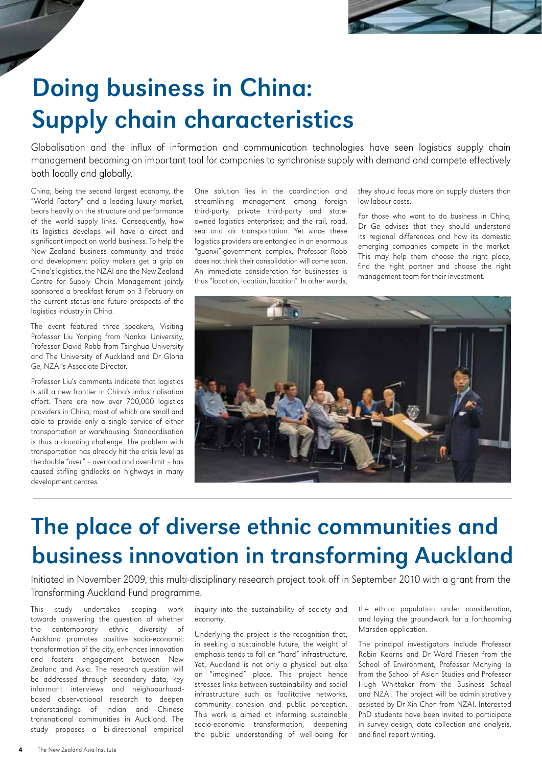

## Doing business in China: Supply chain characteristics

Globalisation and the influx of information and communication technologies have seen logistics supply chain management becoming an important tool for companies to synchronise supply with demand and compete effectively both locally and globally.

China, being the second largest economy, the "World Factory" and a leading luxury market, bears heavily on the structure and performance of the world supply links. Consequently, how its logistics develops will have a direct and significant impact on world business. To help the New Zealand business community and trade and development policy makers get a grip on China's logistics, the NZAI and the New Zealand Centre for Supply Chain Management jointly sponsored a breakfast forum on 3 February on the current status and future prospects of the logistics industry in China.

The event featured three speakers, Visiting Professor Liu Yanping from Nankai University, Professor David Robb from Tsinghua University and The University of Auckland and Dr Gloria Ge, NZAI's Associate Director.

Professor Liu's comments indicate that logistics is still a new frontier in China's industrialisation effort. There are now over 700,000 logistics providers in China, most of which are small and able to provide only a single service of either transportation or warehousing. Standardisation is thus a daunting challenge. The problem with transportation has already hit the crisis level as the double "over" – overload and over-limit – has caused stifling gridlocks on highways in many development centres.

One solution lies in the coordination and streamlining management among foreign third-party, private third-party and stateowned logistics enterprises; and the rail, road, sea and air transportation. Yet since these logistics providers are entangled in an enormous "guanxi"-government complex, Professor Robb does not think their consolidation will come soon. An immediate consideration for businesses is thus "location, location, location". In other words,

they should focus more on supply clusters than low labour costs.

For those who want to do business in China, Dr Ge advises that they should understand its regional differences and how its domestic emerging companies compete in the market. This may help them choose the right place, find the right partner and choose the right management team for their investment.



### The place of diverse ethnic communities and business innovation in transforming Auckland

Initiated in November 2009, this multi-disciplinary research project took off in September 2010 with a grant from the Transforming Auckland Fund programme.

This study undertakes scoping work towards answering the question of whether the contemporary ethnic diversity of Auckland promotes positive socio-economic transformation of the city, enhances innovation and fosters engagement between New Zealand and Asia. The research question will be addressed through secondary data, key informant interviews and neighbourhoodbased observational research to deepen understandings of Indian and Chinese transnational communities in Auckland. The study proposes a bi-directional empirical

inquiry into the sustainability of society and economy.

Underlying the project is the recognition that, in seeking a sustainable future, the weight of emphasis tends to fall on "hard" infrastructure. Yet, Auckland is not only a physical but also an "imagined" place. This project hence stresses links between sustainability and social infrastructure such as facilitative networks, community cohesion and public perception. This work is aimed at informing sustainable socio-economic transformation, deepening the public understanding of well-being for

the ethnic population under consideration, and laying the groundwork for a forthcoming Marsden application.

The principal investigators include Professor Robin Kearns and Dr Ward Friesen from the School of Environment, Professor Manying Ip from the School of Asian Studies and Professor Hugh Whittaker from the Business School and NZAI. The project will be administratively assisted by Dr Xin Chen from NZAI. Interested PhD students have been invited to participate in survey design, data collection and analysis, and final report writing.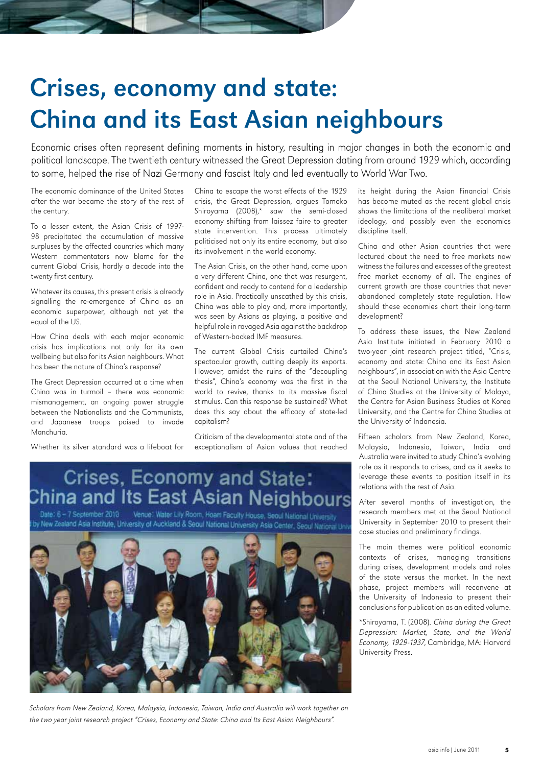## Crises, economy and state: China and its East Asian neighbours

Economic crises often represent defining moments in history, resulting in major changes in both the economic and political landscape. The twentieth century witnessed the Great Depression dating from around 1929 which, according to some, helped the rise of Nazi Germany and fascist Italy and led eventually to World War Two.

The economic dominance of the United States after the war became the story of the rest of the century.

To a lesser extent, the Asian Crisis of 1997- 98 precipitated the accumulation of massive surpluses by the affected countries which many Western commentators now blame for the current Global Crisis, hardly a decade into the twenty first century.

Whatever its causes, this present crisis is already signalling the re-emergence of China as an economic superpower, although not yet the equal of the US.

How China deals with each major economic crisis has implications not only for its own wellbeing but also for its Asian neighbours. What has been the nature of China's response?

The Great Depression occurred at a time when China was in turmoil – there was economic mismanagement, an ongoing power struggle between the Nationalists and the Communists, and Japanese troops poised to invade Manchuria.

Whether its silver standard was a lifeboat for

China to escape the worst effects of the 1929 crisis, the Great Depression, argues Tomoko Shiroyama (2008),\* saw the semi-closed economy shifting from laissez faire to greater state intervention. This process ultimately politicised not only its entire economy, but also its involvement in the world economy.

The Asian Crisis, on the other hand, came upon a very different China, one that was resurgent, confident and ready to contend for a leadership role in Asia. Practically unscathed by this crisis, China was able to play and, more importantly, was seen by Asians as playing, a positive and helpful role in ravaged Asia against the backdrop of Western-backed IMF measures.

The current Global Crisis curtailed China's spectacular growth, cutting deeply its exports. However, amidst the ruins of the "decoupling thesis", China's economy was the first in the world to revive, thanks to its massive fiscal stimulus. Can this response be sustained? What does this say about the efficacy of state-led capitalism?

Criticism of the developmental state and of the exceptionalism of Asian values that reached

## Crises, Economy and State:<br>China and Its East Asian Neighbours

Date: 6 - 7 September 2010 Venue: Water Lily Room, Hoam Faculty House, Seoul National University by New Zealand Asia Institute, University of Auckland & Seoul National University Asia Center, Seoul National Un



Scholars from New Zealand, Korea, Malaysia, Indonesia, Taiwan, India and Australia will work together on the two year joint research project "Crises, Economy and State: China and Its East Asian Neighbours".

its height during the Asian Financial Crisis has become muted as the recent global crisis shows the limitations of the neoliberal market ideology, and possibly even the economics discipline itself.

China and other Asian countries that were lectured about the need to free markets now witness the failures and excesses of the greatest free market economy of all. The engines of current growth are those countries that never abandoned completely state regulation. How should these economies chart their long-term development?

To address these issues, the New Zealand Asia Institute initiated in February 2010 a two-year joint research project titled, "Crisis, economy and state: China and its East Asian neighbours", in association with the Asia Centre at the Seoul National University, the Institute of China Studies at the University of Malaya, the Centre for Asian Business Studies at Korea University, and the Centre for China Studies at the University of Indonesia.

Fifteen scholars from New Zealand, Korea, Malaysia, Indonesia, Taiwan, India and Australia were invited to study China's evolving role as it responds to crises, and as it seeks to leverage these events to position itself in its relations with the rest of Asia.

After several months of investigation, the research members met at the Seoul National University in September 2010 to present their case studies and preliminary findings.

The main themes were political economic contexts of crises, managing transitions during crises, development models and roles of the state versus the market. In the next phase, project members will reconvene at the University of Indonesia to present their conclusions for publication as an edited volume.

\*Shiroyama, T. (2008). China during the Great Depression: Market, State, and the World Economy, 1929-1937, Cambridge, MA: Harvard University Press.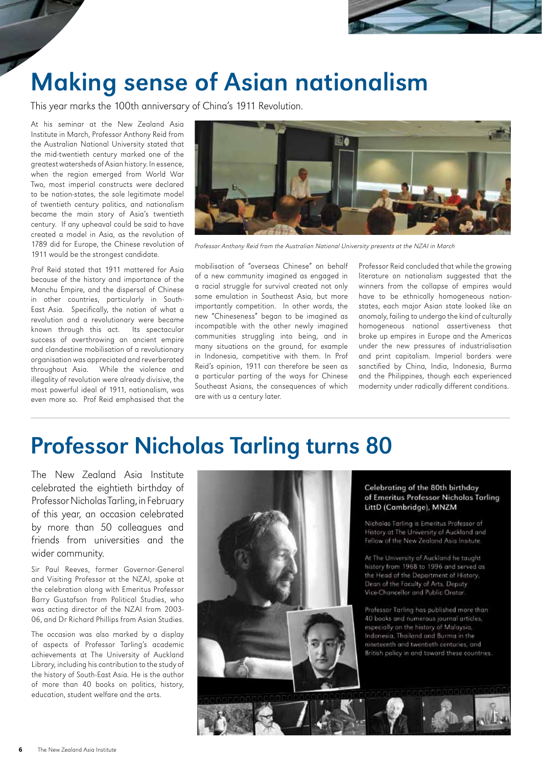

### Making sense of Asian nationalism

This year marks the 100th anniversary of China's 1911 Revolution.

At his seminar at the New Zealand Asia Institute in March, Professor Anthony Reid from the Australian National University stated that the mid-twentieth century marked one of the greatest watersheds of Asian history. In essence, when the region emerged from World War Two, most imperial constructs were declared to be nation-states, the sole legitimate model of twentieth century politics, and nationalism became the main story of Asia's twentieth century. If any upheaval could be said to have created a model in Asia, as the revolution of 1789 did for Europe, the Chinese revolution of 1911 would be the strongest candidate.

Prof Reid stated that 1911 mattered for Asia because of the history and importance of the Manchu Empire, and the dispersal of Chinese in other countries, particularly in South-East Asia. Specifically, the notion of what a revolution and a revolutionary were became known through this act. Its spectacular success of overthrowing an ancient empire and clandestine mobilisation of a revolutionary organisation was appreciated and reverberated throughout Asia. While the violence and illegality of revolution were already divisive, the most powerful ideal of 1911, nationalism, was even more so. Prof Reid emphasised that the



Professor Anthony Reid from the Australian National University presents at the NZAI in March

mobilisation of "overseas Chinese" on behalf of a new community imagined as engaged in a racial struggle for survival created not only some emulation in Southeast Asia, but more importantly competition. In other words, the new "Chineseness" began to be imagined as incompatible with the other newly imagined communities struggling into being, and in many situations on the ground, for example in Indonesia, competitive with them. In Prof Reid's opinion, 1911 can therefore be seen as a particular parting of the ways for Chinese Southeast Asians, the consequences of which are with us a century later.

Professor Reid concluded that while the growing literature on nationalism suggested that the winners from the collapse of empires would have to be ethnically homogeneous nationstates, each major Asian state looked like an anomaly, failing to undergo the kind of culturally homogeneous national assertiveness that broke up empires in Europe and the Americas under the new pressures of industrialisation and print capitalism. Imperial borders were sanctified by China, India, Indonesia, Burma and the Philippines, though each experienced modernity under radically different conditions.

### Professor Nicholas Tarling turns 80

The New Zealand Asia Institute celebrated the eightieth birthday of Professor Nicholas Tarling, in February of this year, an occasion celebrated by more than 50 colleagues and friends from universities and the wider community.

Sir Paul Reeves, former Governor-General and Visiting Professor at the NZAI, spoke at the celebration along with Emeritus Professor Barry Gustafson from Political Studies, who was acting director of the NZAI from 2003- 06, and Dr Richard Phillips from Asian Studies.

The occasion was also marked by a display of aspects of Professor Tarling's academic achievements at The University of Auckland Library, including his contribution to the study of the history of South-East Asia. He is the author of more than 40 books on politics, history, education, student welfare and the arts.



### Celebrating of the 80th birthday of Emeritus Professor Nicholas Tarling LittD (Cambridge), MNZM

Nicholas Tarling is Emeritus Professor of History at The University of Auckland and Fellow of the New Zealand Asia Insitute.

At The University of Auckland he taught history from 1968 to 1996 and served as the Head of the Department of History, Dean of the Faculty of Arts, Deputy Vice-Chancellor and Public Orator

Professor Tarling has published more than 40 books and numerous journal articles, especially on the history of Malaysia, Indonesia, Thailand and Burma in the nineteenth and twentieth centuries, and British policy in and toward these countries.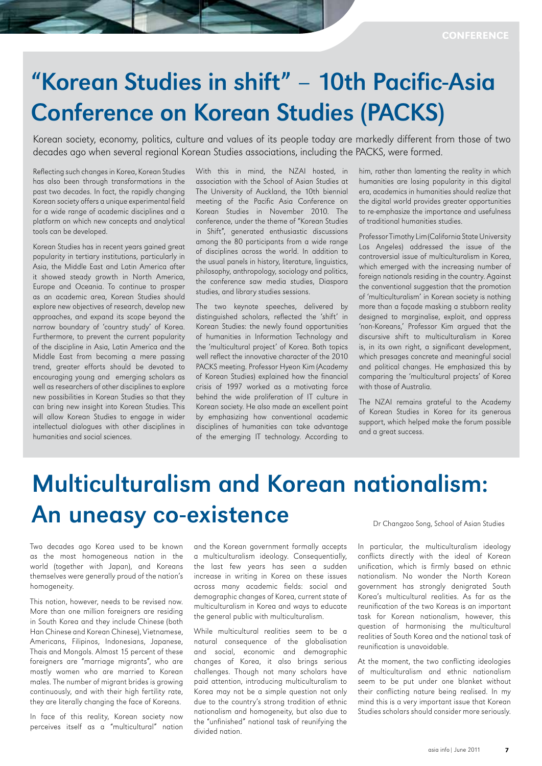### "Korean Studies in shift" – 10th Pacific-Asia Conference on Korean Studies (PACKS)

Korean society, economy, politics, culture and values of its people today are markedly different from those of two decades ago when several regional Korean Studies associations, including the PACKS, were formed.

Reflecting such changes in Korea, Korean Studies has also been through transformations in the past two decades. In fact, the rapidly changing Korean society offers a unique experimental field for a wide range of academic disciplines and a platform on which new concepts and analytical tools can be developed.

Korean Studies has in recent years gained great popularity in tertiary institutions, particularly in Asia, the Middle East and Latin America after it showed steady growth in North America, Europe and Oceania. To continue to prosper as an academic area, Korean Studies should explore new objectives of research, develop new approaches, and expand its scope beyond the narrow boundary of 'country study' of Korea. Furthermore, to prevent the current popularity of the discipline in Asia, Latin America and the Middle East from becoming a mere passing trend, greater efforts should be devoted to encouraging young and emerging scholars as well as researchers of other disciplines to explore new possibilities in Korean Studies so that they can bring new insight into Korean Studies. This will allow Korean Studies to engage in wider intellectual dialogues with other disciplines in humanities and social sciences.

With this in mind, the NZAI hosted, in association with the School of Asian Studies at The University of Auckland, the 10th biennial meeting of the Pacific Asia Conference on Korean Studies in November 2010. The conference, under the theme of "Korean Studies in Shift", generated enthusiastic discussions among the 80 participants from a wide range of disciplines across the world. In addition to the usual panels in history, literature, linguistics, philosophy, anthropology, sociology and politics, the conference saw media studies, Diaspora studies, and library studies sessions.

The two keynote speeches, delivered by distinguished scholars, reflected the 'shift' in Korean Studies: the newly found opportunities of humanities in Information Technology and the 'multicultural project' of Korea. Both topics well reflect the innovative character of the 2010 PACKS meeting. Professor Hyeon Kim (Academy of Korean Studies) explained how the financial crisis of 1997 worked as a motivating force behind the wide proliferation of IT culture in Korean society. He also made an excellent point by emphasizing how conventional academic disciplines of humanities can take advantage of the emerging IT technology. According to

him, rather than lamenting the reality in which humanities are losing popularity in this digital era, academics in humanities should realize that the digital world provides greater opportunities to re-emphasize the importance and usefulness of traditional humanities studies.

Professor Timothy Lim (California State University Los Angeles) addressed the issue of the controversial issue of multiculturalism in Korea, which emerged with the increasing number of foreign nationals residing in the country. Against the conventional suggestion that the promotion of 'multiculturalism' in Korean society is nothing more than a façade masking a stubborn reality designed to marginalise, exploit, and oppress 'non-Koreans,' Professor Kim argued that the discursive shift to multiculturalism in Korea is, in its own right, a significant development, which presages concrete and meaningful social and political changes. He emphasized this by comparing the 'multicultural projects' of Korea with those of Australia.

The NZAI remains grateful to the Academy of Korean Studies in Korea for its generous support, which helped make the forum possible and a great success.

### Multiculturalism and Korean nationalism: An uneasy co-existence

Two decades ago Korea used to be known as the most homogeneous nation in the world (together with Japan), and Koreans themselves were generally proud of the nation's homogeneity.

This notion, however, needs to be revised now. More than one million foreigners are residing in South Korea and they include Chinese (both Han Chinese and Korean Chinese), Vietnamese, Americans, Filipinos, Indonesians, Japanese, Thais and Mongols. Almost 15 percent of these foreigners are "marriage migrants", who are mostly women who are married to Korean males. The number of migrant brides is growing continuously, and with their high fertility rate, they are literally changing the face of Koreans.

In face of this reality, Korean society now perceives itself as a "multicultural" nation and the Korean government formally accepts a multiculturalism ideology. Consequentially, the last few years has seen a sudden increase in writing in Korea on these issues across many academic fields: social and demographic changes of Korea, current state of multiculturalism in Korea and ways to educate the general public with multiculturalism.

While multicultural realities seem to be a natural consequence of the globalisation and social, economic and demographic changes of Korea, it also brings serious challenges. Though not many scholars have paid attention, introducing multiculturalism to Korea may not be a simple question not only due to the country's strong tradition of ethnic nationalism and homogeneity, but also due to the "unfinished" national task of reunifying the divided nation.

Dr Changzoo Song, School of Asian Studies

In particular, the multiculturalism ideology conflicts directly with the ideal of Korean unification, which is firmly based on ethnic nationalism. No wonder the North Korean government has strongly denigrated South Korea's multicultural realities. As far as the reunification of the two Koreas is an important task for Korean nationalism, however, this question of harmonising the multicultural realities of South Korea and the national task of reunification is unavoidable.

At the moment, the two conflicting ideologies of multiculturalism and ethnic nationalism seem to be put under one blanket without their conflicting nature being realised. In my mind this is a very important issue that Korean Studies scholars should consider more seriously.